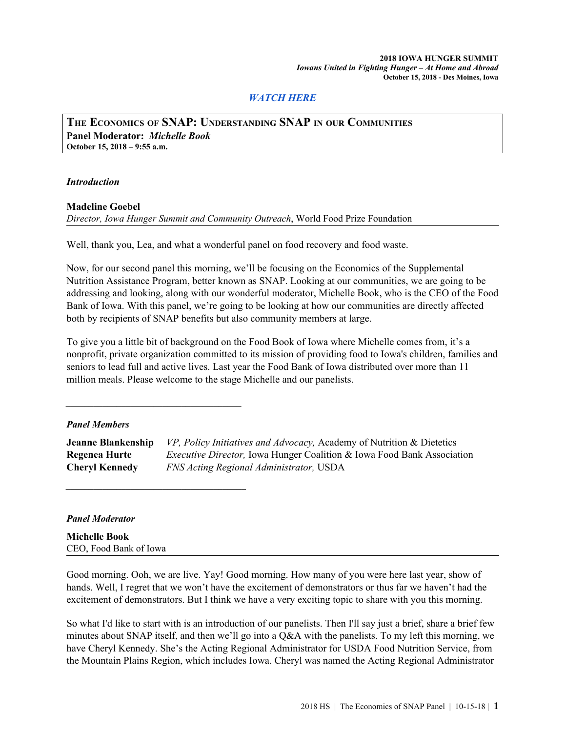# *[WATCH](https://www.iowahungersummit.org/SNAP) HERE*

**THE ECONOMICS OF SNAP: UNDERSTANDING SNAP IN OUR COMMUNITIES Panel Moderator:** *Michelle Book* **October 15, 2018 – 9:55 a.m.**

#### *Introduction*

**Madeline Goebel**

*Director, Iowa Hunger Summit and Community Outreach*, World Food Prize Foundation

Well, thank you, Lea, and what a wonderful panel on food recovery and food waste.

Now, for our second panel this morning, we'll be focusing on the Economics of the Supplemental Nutrition Assistance Program, better known as SNAP. Looking at our communities, we are going to be addressing and looking, along with our wonderful moderator, Michelle Book, who is the CEO of the Food Bank of Iowa. With this panel, we're going to be looking at how our communities are directly affected both by recipients of SNAP benefits but also community members at large.

To give you a little bit of background on the Food Book of Iowa where Michelle comes from, it's a nonprofit, private organization committed to its mission of providing food to Iowa's children, families and seniors to lead full and active lives. Last year the Food Bank of Iowa distributed over more than 11 million meals. Please welcome to the stage Michelle and our panelists.

### *Panel Members*

*\_\_\_\_\_\_\_\_\_\_\_\_\_\_\_\_\_\_\_\_\_\_\_\_\_\_\_\_\_\_\_\_\_\_\_\_\_\_*

*\_\_\_\_\_\_\_\_\_\_\_\_\_\_\_\_\_\_\_\_\_\_\_\_\_\_\_\_\_\_\_\_\_\_\_\_\_\_\_*

**Jeanne Blankenship** *VP, Policy Initiatives and Advocacy,* Academy of Nutrition & Dietetics **Regenea Hurte** *Executive Director,* Iowa Hunger Coalition & Iowa Food Bank Association **Cheryl Kennedy** *FNS Acting Regional Administrator,* USDA

### *Panel Moderator*

**Michelle Book** CEO, Food Bank of Iowa

Good morning. Ooh, we are live. Yay! Good morning. How many of you were here last year, show of hands. Well, I regret that we won't have the excitement of demonstrators or thus far we haven't had the excitement of demonstrators. But I think we have a very exciting topic to share with you this morning.

So what I'd like to start with is an introduction of our panelists. Then I'll say just a brief, share a brief few minutes about SNAP itself, and then we'll go into a Q&A with the panelists. To my left this morning, we have Cheryl Kennedy. She's the Acting Regional Administrator for USDA Food Nutrition Service, from the Mountain Plains Region, which includes Iowa. Cheryl was named the Acting Regional Administrator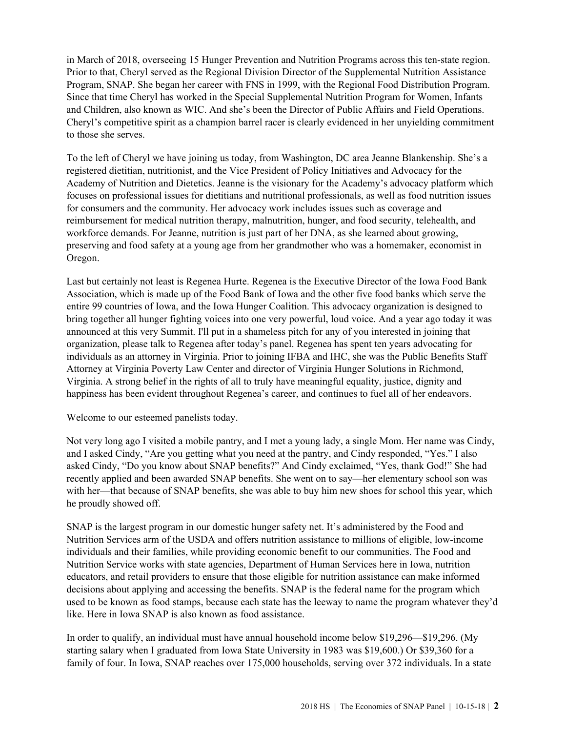in March of 2018, overseeing 15 Hunger Prevention and Nutrition Programs across this ten-state region. Prior to that, Cheryl served as the Regional Division Director of the Supplemental Nutrition Assistance Program, SNAP. She began her career with FNS in 1999, with the Regional Food Distribution Program. Since that time Cheryl has worked in the Special Supplemental Nutrition Program for Women, Infants and Children, also known as WIC. And she's been the Director of Public Affairs and Field Operations. Cheryl's competitive spirit as a champion barrel racer is clearly evidenced in her unyielding commitment to those she serves.

To the left of Cheryl we have joining us today, from Washington, DC area Jeanne Blankenship. She's a registered dietitian, nutritionist, and the Vice President of Policy Initiatives and Advocacy for the Academy of Nutrition and Dietetics. Jeanne is the visionary for the Academy's advocacy platform which focuses on professional issues for dietitians and nutritional professionals, as well as food nutrition issues for consumers and the community. Her advocacy work includes issues such as coverage and reimbursement for medical nutrition therapy, malnutrition, hunger, and food security, telehealth, and workforce demands. For Jeanne, nutrition is just part of her DNA, as she learned about growing, preserving and food safety at a young age from her grandmother who was a homemaker, economist in Oregon.

Last but certainly not least is Regenea Hurte. Regenea is the Executive Director of the Iowa Food Bank Association, which is made up of the Food Bank of Iowa and the other five food banks which serve the entire 99 countries of Iowa, and the Iowa Hunger Coalition. This advocacy organization is designed to bring together all hunger fighting voices into one very powerful, loud voice. And a year ago today it was announced at this very Summit. I'll put in a shameless pitch for any of you interested in joining that organization, please talk to Regenea after today's panel. Regenea has spent ten years advocating for individuals as an attorney in Virginia. Prior to joining IFBA and IHC, she was the Public Benefits Staff Attorney at Virginia Poverty Law Center and director of Virginia Hunger Solutions in Richmond, Virginia. A strong belief in the rights of all to truly have meaningful equality, justice, dignity and happiness has been evident throughout Regenea's career, and continues to fuel all of her endeavors.

Welcome to our esteemed panelists today.

Not very long ago I visited a mobile pantry, and I met a young lady, a single Mom. Her name was Cindy, and I asked Cindy, "Are you getting what you need at the pantry, and Cindy responded, "Yes." I also asked Cindy, "Do you know about SNAP benefits?" And Cindy exclaimed, "Yes, thank God!" She had recently applied and been awarded SNAP benefits. She went on to say—her elementary school son was with her—that because of SNAP benefits, she was able to buy him new shoes for school this year, which he proudly showed off.

SNAP is the largest program in our domestic hunger safety net. It's administered by the Food and Nutrition Services arm of the USDA and offers nutrition assistance to millions of eligible, low-income individuals and their families, while providing economic benefit to our communities. The Food and Nutrition Service works with state agencies, Department of Human Services here in Iowa, nutrition educators, and retail providers to ensure that those eligible for nutrition assistance can make informed decisions about applying and accessing the benefits. SNAP is the federal name for the program which used to be known as food stamps, because each state has the leeway to name the program whatever they'd like. Here in Iowa SNAP is also known as food assistance.

In order to qualify, an individual must have annual household income below \$19,296—\$19,296. (My starting salary when I graduated from Iowa State University in 1983 was \$19,600.) Or \$39,360 for a family of four. In Iowa, SNAP reaches over 175,000 households, serving over 372 individuals. In a state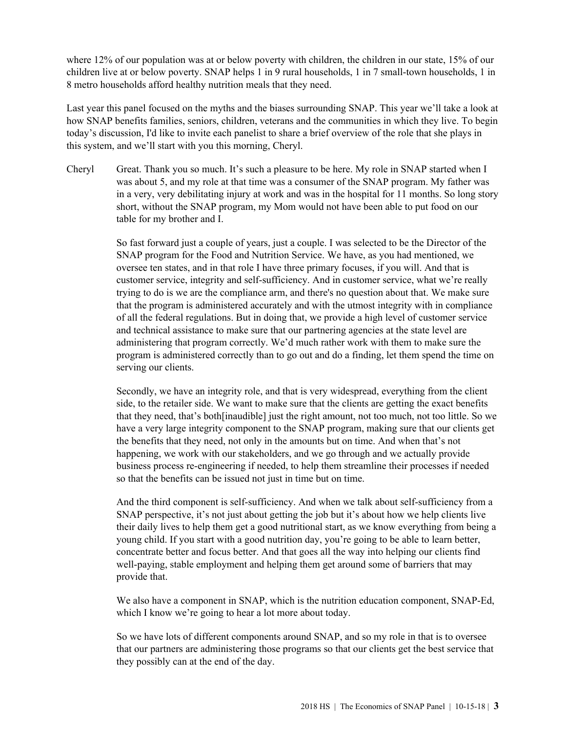where 12% of our population was at or below poverty with children, the children in our state, 15% of our children live at or below poverty. SNAP helps 1 in 9 rural households, 1 in 7 small-town households, 1 in 8 metro households afford healthy nutrition meals that they need.

Last year this panel focused on the myths and the biases surrounding SNAP. This year we'll take a look at how SNAP benefits families, seniors, children, veterans and the communities in which they live. To begin today's discussion, I'd like to invite each panelist to share a brief overview of the role that she plays in this system, and we'll start with you this morning, Cheryl.

Cheryl Great. Thank you so much. It's such a pleasure to be here. My role in SNAP started when I was about 5, and my role at that time was a consumer of the SNAP program. My father was in a very, very debilitating injury at work and was in the hospital for 11 months. So long story short, without the SNAP program, my Mom would not have been able to put food on our table for my brother and I.

> So fast forward just a couple of years, just a couple. I was selected to be the Director of the SNAP program for the Food and Nutrition Service. We have, as you had mentioned, we oversee ten states, and in that role I have three primary focuses, if you will. And that is customer service, integrity and self-sufficiency. And in customer service, what we're really trying to do is we are the compliance arm, and there's no question about that. We make sure that the program is administered accurately and with the utmost integrity with in compliance of all the federal regulations. But in doing that, we provide a high level of customer service and technical assistance to make sure that our partnering agencies at the state level are administering that program correctly. We'd much rather work with them to make sure the program is administered correctly than to go out and do a finding, let them spend the time on serving our clients.

> Secondly, we have an integrity role, and that is very widespread, everything from the client side, to the retailer side. We want to make sure that the clients are getting the exact benefits that they need, that's both[inaudible] just the right amount, not too much, not too little. So we have a very large integrity component to the SNAP program, making sure that our clients get the benefits that they need, not only in the amounts but on time. And when that's not happening, we work with our stakeholders, and we go through and we actually provide business process re-engineering if needed, to help them streamline their processes if needed so that the benefits can be issued not just in time but on time.

> And the third component is self-sufficiency. And when we talk about self-sufficiency from a SNAP perspective, it's not just about getting the job but it's about how we help clients live their daily lives to help them get a good nutritional start, as we know everything from being a young child. If you start with a good nutrition day, you're going to be able to learn better, concentrate better and focus better. And that goes all the way into helping our clients find well-paying, stable employment and helping them get around some of barriers that may provide that.

> We also have a component in SNAP, which is the nutrition education component, SNAP-Ed, which I know we're going to hear a lot more about today.

> So we have lots of different components around SNAP, and so my role in that is to oversee that our partners are administering those programs so that our clients get the best service that they possibly can at the end of the day.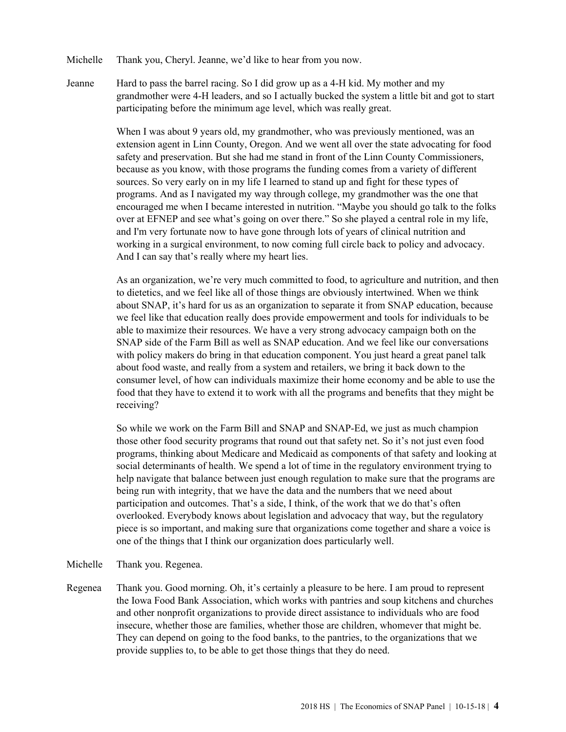- Michelle Thank you, Cheryl. Jeanne, we'd like to hear from you now.
- Jeanne Hard to pass the barrel racing. So I did grow up as a 4-H kid. My mother and my grandmother were 4-H leaders, and so I actually bucked the system a little bit and got to start participating before the minimum age level, which was really great.

When I was about 9 years old, my grandmother, who was previously mentioned, was an extension agent in Linn County, Oregon. And we went all over the state advocating for food safety and preservation. But she had me stand in front of the Linn County Commissioners, because as you know, with those programs the funding comes from a variety of different sources. So very early on in my life I learned to stand up and fight for these types of programs. And as I navigated my way through college, my grandmother was the one that encouraged me when I became interested in nutrition. "Maybe you should go talk to the folks over at EFNEP and see what's going on over there." So she played a central role in my life, and I'm very fortunate now to have gone through lots of years of clinical nutrition and working in a surgical environment, to now coming full circle back to policy and advocacy. And I can say that's really where my heart lies.

As an organization, we're very much committed to food, to agriculture and nutrition, and then to dietetics, and we feel like all of those things are obviously intertwined. When we think about SNAP, it's hard for us as an organization to separate it from SNAP education, because we feel like that education really does provide empowerment and tools for individuals to be able to maximize their resources. We have a very strong advocacy campaign both on the SNAP side of the Farm Bill as well as SNAP education. And we feel like our conversations with policy makers do bring in that education component. You just heard a great panel talk about food waste, and really from a system and retailers, we bring it back down to the consumer level, of how can individuals maximize their home economy and be able to use the food that they have to extend it to work with all the programs and benefits that they might be receiving?

So while we work on the Farm Bill and SNAP and SNAP-Ed, we just as much champion those other food security programs that round out that safety net. So it's not just even food programs, thinking about Medicare and Medicaid as components of that safety and looking at social determinants of health. We spend a lot of time in the regulatory environment trying to help navigate that balance between just enough regulation to make sure that the programs are being run with integrity, that we have the data and the numbers that we need about participation and outcomes. That's a side, I think, of the work that we do that's often overlooked. Everybody knows about legislation and advocacy that way, but the regulatory piece is so important, and making sure that organizations come together and share a voice is one of the things that I think our organization does particularly well.

- Michelle Thank you. Regenea.
- Regenea Thank you. Good morning. Oh, it's certainly a pleasure to be here. I am proud to represent the Iowa Food Bank Association, which works with pantries and soup kitchens and churches and other nonprofit organizations to provide direct assistance to individuals who are food insecure, whether those are families, whether those are children, whomever that might be. They can depend on going to the food banks, to the pantries, to the organizations that we provide supplies to, to be able to get those things that they do need.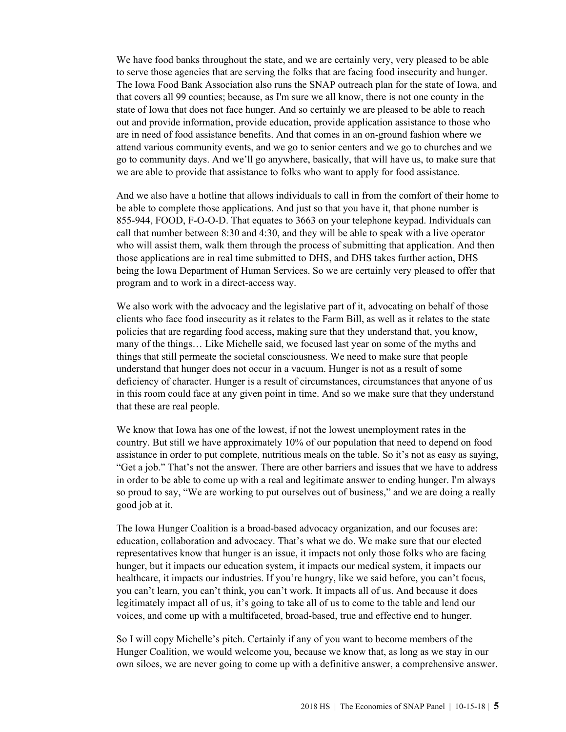We have food banks throughout the state, and we are certainly very, very pleased to be able to serve those agencies that are serving the folks that are facing food insecurity and hunger. The Iowa Food Bank Association also runs the SNAP outreach plan for the state of Iowa, and that covers all 99 counties; because, as I'm sure we all know, there is not one county in the state of Iowa that does not face hunger. And so certainly we are pleased to be able to reach out and provide information, provide education, provide application assistance to those who are in need of food assistance benefits. And that comes in an on-ground fashion where we attend various community events, and we go to senior centers and we go to churches and we go to community days. And we'll go anywhere, basically, that will have us, to make sure that we are able to provide that assistance to folks who want to apply for food assistance.

And we also have a hotline that allows individuals to call in from the comfort of their home to be able to complete those applications. And just so that you have it, that phone number is 855-944, FOOD, F-O-O-D. That equates to 3663 on your telephone keypad. Individuals can call that number between 8:30 and 4:30, and they will be able to speak with a live operator who will assist them, walk them through the process of submitting that application. And then those applications are in real time submitted to DHS, and DHS takes further action, DHS being the Iowa Department of Human Services. So we are certainly very pleased to offer that program and to work in a direct-access way.

We also work with the advocacy and the legislative part of it, advocating on behalf of those clients who face food insecurity as it relates to the Farm Bill, as well as it relates to the state policies that are regarding food access, making sure that they understand that, you know, many of the things… Like Michelle said, we focused last year on some of the myths and things that still permeate the societal consciousness. We need to make sure that people understand that hunger does not occur in a vacuum. Hunger is not as a result of some deficiency of character. Hunger is a result of circumstances, circumstances that anyone of us in this room could face at any given point in time. And so we make sure that they understand that these are real people.

We know that Iowa has one of the lowest, if not the lowest unemployment rates in the country. But still we have approximately 10% of our population that need to depend on food assistance in order to put complete, nutritious meals on the table. So it's not as easy as saying, "Get a job." That's not the answer. There are other barriers and issues that we have to address in order to be able to come up with a real and legitimate answer to ending hunger. I'm always so proud to say, "We are working to put ourselves out of business," and we are doing a really good job at it.

The Iowa Hunger Coalition is a broad-based advocacy organization, and our focuses are: education, collaboration and advocacy. That's what we do. We make sure that our elected representatives know that hunger is an issue, it impacts not only those folks who are facing hunger, but it impacts our education system, it impacts our medical system, it impacts our healthcare, it impacts our industries. If you're hungry, like we said before, you can't focus, you can't learn, you can't think, you can't work. It impacts all of us. And because it does legitimately impact all of us, it's going to take all of us to come to the table and lend our voices, and come up with a multifaceted, broad-based, true and effective end to hunger.

So I will copy Michelle's pitch. Certainly if any of you want to become members of the Hunger Coalition, we would welcome you, because we know that, as long as we stay in our own siloes, we are never going to come up with a definitive answer, a comprehensive answer.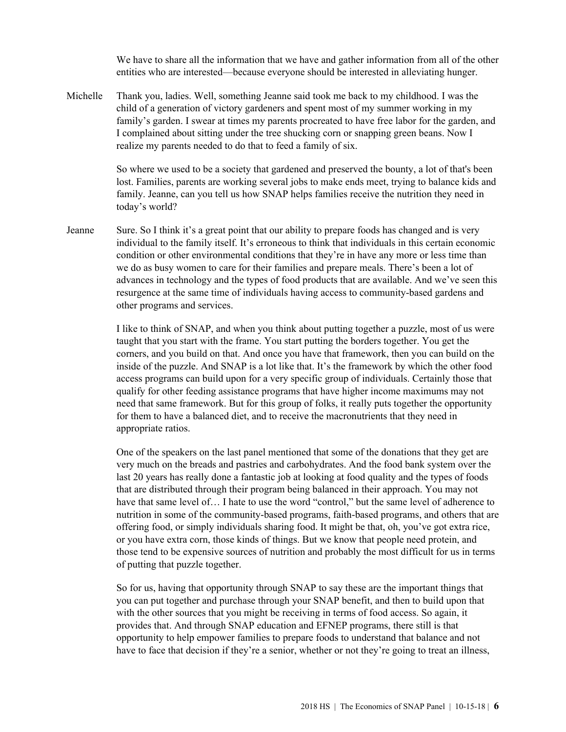We have to share all the information that we have and gather information from all of the other entities who are interested—because everyone should be interested in alleviating hunger.

Michelle Thank you, ladies. Well, something Jeanne said took me back to my childhood. I was the child of a generation of victory gardeners and spent most of my summer working in my family's garden. I swear at times my parents procreated to have free labor for the garden, and I complained about sitting under the tree shucking corn or snapping green beans. Now I realize my parents needed to do that to feed a family of six.

> So where we used to be a society that gardened and preserved the bounty, a lot of that's been lost. Families, parents are working several jobs to make ends meet, trying to balance kids and family. Jeanne, can you tell us how SNAP helps families receive the nutrition they need in today's world?

Jeanne Sure. So I think it's a great point that our ability to prepare foods has changed and is very individual to the family itself. It's erroneous to think that individuals in this certain economic condition or other environmental conditions that they're in have any more or less time than we do as busy women to care for their families and prepare meals. There's been a lot of advances in technology and the types of food products that are available. And we've seen this resurgence at the same time of individuals having access to community-based gardens and other programs and services.

> I like to think of SNAP, and when you think about putting together a puzzle, most of us were taught that you start with the frame. You start putting the borders together. You get the corners, and you build on that. And once you have that framework, then you can build on the inside of the puzzle. And SNAP is a lot like that. It's the framework by which the other food access programs can build upon for a very specific group of individuals. Certainly those that qualify for other feeding assistance programs that have higher income maximums may not need that same framework. But for this group of folks, it really puts together the opportunity for them to have a balanced diet, and to receive the macronutrients that they need in appropriate ratios.

One of the speakers on the last panel mentioned that some of the donations that they get are very much on the breads and pastries and carbohydrates. And the food bank system over the last 20 years has really done a fantastic job at looking at food quality and the types of foods that are distributed through their program being balanced in their approach. You may not have that same level of… I hate to use the word "control," but the same level of adherence to nutrition in some of the community-based programs, faith-based programs, and others that are offering food, or simply individuals sharing food. It might be that, oh, you've got extra rice, or you have extra corn, those kinds of things. But we know that people need protein, and those tend to be expensive sources of nutrition and probably the most difficult for us in terms of putting that puzzle together.

So for us, having that opportunity through SNAP to say these are the important things that you can put together and purchase through your SNAP benefit, and then to build upon that with the other sources that you might be receiving in terms of food access. So again, it provides that. And through SNAP education and EFNEP programs, there still is that opportunity to help empower families to prepare foods to understand that balance and not have to face that decision if they're a senior, whether or not they're going to treat an illness,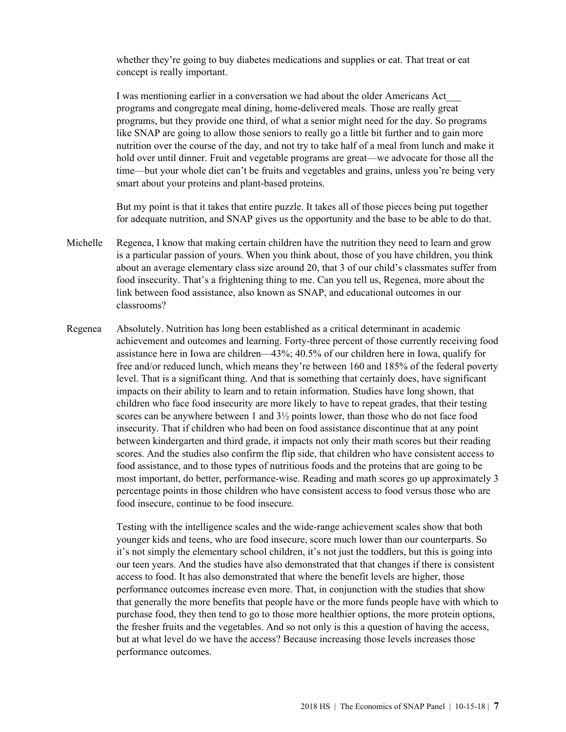whether they're going to buy diabetes medications and supplies or eat. That treat or eat concept is really important.

I was mentioning earlier in a conversation we had about the older Americans Act\_\_\_ programs and congregate meal dining, home-delivered meals. Those are really great programs, but they provide one third, of what a senior might need for the day. So programs like SNAP are going to allow those seniors to really go a little bit further and to gain more nutrition over the course of the day, and not try to take half of a meal from lunch and make it hold over until dinner. Fruit and vegetable programs are great—we advocate for those all the time—but your whole diet can't be fruits and vegetables and grains, unless you're being very smart about your proteins and plant-based proteins.

But my point is that it takes that entire puzzle. It takes all of those pieces being put together for adequate nutrition, and SNAP gives us the opportunity and the base to be able to do that.

- Michelle Regenea, I know that making certain children have the nutrition they need to learn and grow is a particular passion of yours. When you think about, those of you have children, you think about an average elementary class size around 20, that 3 of our child's classmates suffer from food insecurity. That's a frightening thing to me. Can you tell us, Regenea, more about the link between food assistance, also known as SNAP, and educational outcomes in our classrooms?
- Regenea Absolutely. Nutrition has long been established as a critical determinant in academic achievement and outcomes and learning. Forty-three percent of those currently receiving food assistance here in Iowa are children—43%; 40.5% of our children here in Iowa, qualify for free and/or reduced lunch, which means they're between 160 and 185% of the federal poverty level. That is a significant thing. And that is something that certainly does, have significant impacts on their ability to learn and to retain information. Studies have long shown, that children who face food insecurity are more likely to have to repeat grades, that their testing scores can be anywhere between 1 and  $3\frac{1}{2}$  points lower, than those who do not face food insecurity. That if children who had been on food assistance discontinue that at any point between kindergarten and third grade, it impacts not only their math scores but their reading scores. And the studies also confirm the flip side, that children who have consistent access to food assistance, and to those types of nutritious foods and the proteins that are going to be most important, do better, performance-wise. Reading and math scores go up approximately 3 percentage points in those children who have consistent access to food versus those who are food insecure, continue to be food insecure.

Testing with the intelligence scales and the wide-range achievement scales show that both younger kids and teens, who are food insecure, score much lower than our counterparts. So it's not simply the elementary school children, it's not just the toddlers, but this is going into our teen years. And the studies have also demonstrated that that changes if there is consistent access to food. It has also demonstrated that where the benefit levels are higher, those performance outcomes increase even more. That, in conjunction with the studies that show that generally the more benefits that people have or the more funds people have with which to purchase food, they then tend to go to those more healthier options, the more protein options, the fresher fruits and the vegetables. And so not only is this a question of having the access, but at what level do we have the access? Because increasing those levels increases those performance outcomes.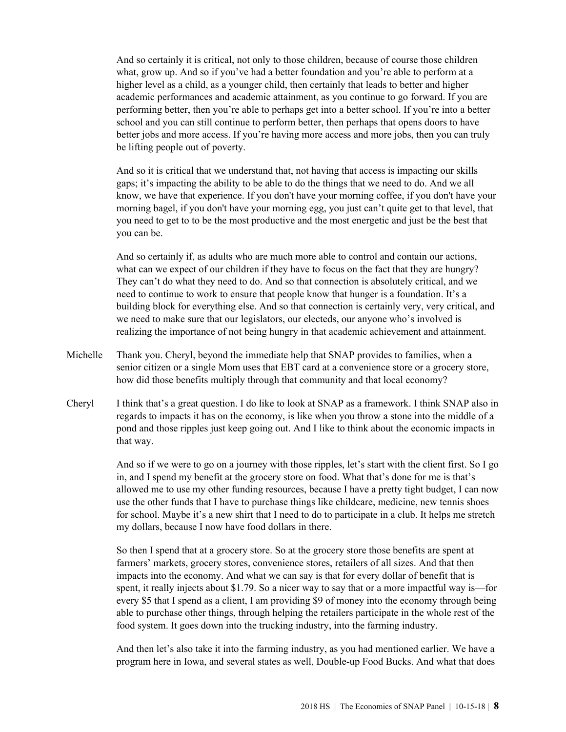And so certainly it is critical, not only to those children, because of course those children what, grow up. And so if you've had a better foundation and you're able to perform at a higher level as a child, as a younger child, then certainly that leads to better and higher academic performances and academic attainment, as you continue to go forward. If you are performing better, then you're able to perhaps get into a better school. If you're into a better school and you can still continue to perform better, then perhaps that opens doors to have better jobs and more access. If you're having more access and more jobs, then you can truly be lifting people out of poverty.

And so it is critical that we understand that, not having that access is impacting our skills gaps; it's impacting the ability to be able to do the things that we need to do. And we all know, we have that experience. If you don't have your morning coffee, if you don't have your morning bagel, if you don't have your morning egg, you just can't quite get to that level, that you need to get to to be the most productive and the most energetic and just be the best that you can be.

And so certainly if, as adults who are much more able to control and contain our actions, what can we expect of our children if they have to focus on the fact that they are hungry? They can't do what they need to do. And so that connection is absolutely critical, and we need to continue to work to ensure that people know that hunger is a foundation. It's a building block for everything else. And so that connection is certainly very, very critical, and we need to make sure that our legislators, our electeds, our anyone who's involved is realizing the importance of not being hungry in that academic achievement and attainment.

- Michelle Thank you. Cheryl, beyond the immediate help that SNAP provides to families, when a senior citizen or a single Mom uses that EBT card at a convenience store or a grocery store, how did those benefits multiply through that community and that local economy?
- Cheryl I think that's a great question. I do like to look at SNAP as a framework. I think SNAP also in regards to impacts it has on the economy, is like when you throw a stone into the middle of a pond and those ripples just keep going out. And I like to think about the economic impacts in that way.

And so if we were to go on a journey with those ripples, let's start with the client first. So I go in, and I spend my benefit at the grocery store on food. What that's done for me is that's allowed me to use my other funding resources, because I have a pretty tight budget, I can now use the other funds that I have to purchase things like childcare, medicine, new tennis shoes for school. Maybe it's a new shirt that I need to do to participate in a club. It helps me stretch my dollars, because I now have food dollars in there.

So then I spend that at a grocery store. So at the grocery store those benefits are spent at farmers' markets, grocery stores, convenience stores, retailers of all sizes. And that then impacts into the economy. And what we can say is that for every dollar of benefit that is spent, it really injects about \$1.79. So a nicer way to say that or a more impactful way is—for every \$5 that I spend as a client, I am providing \$9 of money into the economy through being able to purchase other things, through helping the retailers participate in the whole rest of the food system. It goes down into the trucking industry, into the farming industry.

And then let's also take it into the farming industry, as you had mentioned earlier. We have a program here in Iowa, and several states as well, Double-up Food Bucks. And what that does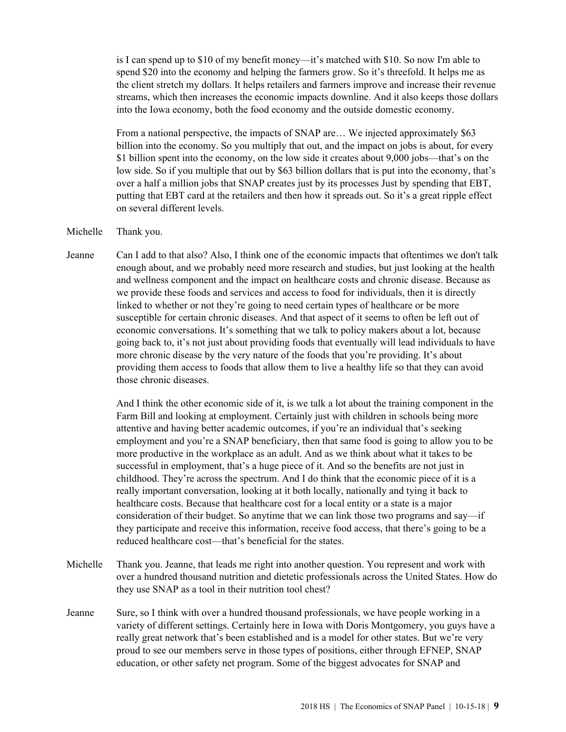is I can spend up to \$10 of my benefit money—it's matched with \$10. So now I'm able to spend \$20 into the economy and helping the farmers grow. So it's threefold. It helps me as the client stretch my dollars. It helps retailers and farmers improve and increase their revenue streams, which then increases the economic impacts downline. And it also keeps those dollars into the Iowa economy, both the food economy and the outside domestic economy.

From a national perspective, the impacts of SNAP are... We injected approximately \$63 billion into the economy. So you multiply that out, and the impact on jobs is about, for every \$1 billion spent into the economy, on the low side it creates about 9,000 jobs—that's on the low side. So if you multiple that out by \$63 billion dollars that is put into the economy, that's over a half a million jobs that SNAP creates just by its processes Just by spending that EBT, putting that EBT card at the retailers and then how it spreads out. So it's a great ripple effect on several different levels.

Michelle Thank you.

Jeanne Can I add to that also? Also, I think one of the economic impacts that oftentimes we don't talk enough about, and we probably need more research and studies, but just looking at the health and wellness component and the impact on healthcare costs and chronic disease. Because as we provide these foods and services and access to food for individuals, then it is directly linked to whether or not they're going to need certain types of healthcare or be more susceptible for certain chronic diseases. And that aspect of it seems to often be left out of economic conversations. It's something that we talk to policy makers about a lot, because going back to, it's not just about providing foods that eventually will lead individuals to have more chronic disease by the very nature of the foods that you're providing. It's about providing them access to foods that allow them to live a healthy life so that they can avoid those chronic diseases.

> And I think the other economic side of it, is we talk a lot about the training component in the Farm Bill and looking at employment. Certainly just with children in schools being more attentive and having better academic outcomes, if you're an individual that's seeking employment and you're a SNAP beneficiary, then that same food is going to allow you to be more productive in the workplace as an adult. And as we think about what it takes to be successful in employment, that's a huge piece of it. And so the benefits are not just in childhood. They're across the spectrum. And I do think that the economic piece of it is a really important conversation, looking at it both locally, nationally and tying it back to healthcare costs. Because that healthcare cost for a local entity or a state is a major consideration of their budget. So anytime that we can link those two programs and say—if they participate and receive this information, receive food access, that there's going to be a reduced healthcare cost—that's beneficial for the states.

- Michelle Thank you. Jeanne, that leads me right into another question. You represent and work with over a hundred thousand nutrition and dietetic professionals across the United States. How do they use SNAP as a tool in their nutrition tool chest?
- Jeanne Sure, so I think with over a hundred thousand professionals, we have people working in a variety of different settings. Certainly here in Iowa with Doris Montgomery, you guys have a really great network that's been established and is a model for other states. But we're very proud to see our members serve in those types of positions, either through EFNEP, SNAP education, or other safety net program. Some of the biggest advocates for SNAP and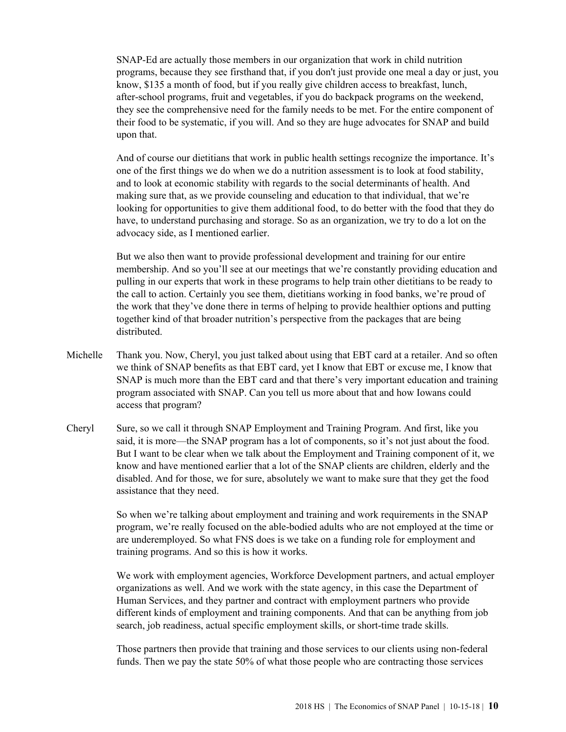SNAP-Ed are actually those members in our organization that work in child nutrition programs, because they see firsthand that, if you don't just provide one meal a day or just, you know, \$135 a month of food, but if you really give children access to breakfast, lunch, after-school programs, fruit and vegetables, if you do backpack programs on the weekend, they see the comprehensive need for the family needs to be met. For the entire component of their food to be systematic, if you will. And so they are huge advocates for SNAP and build upon that.

And of course our dietitians that work in public health settings recognize the importance. It's one of the first things we do when we do a nutrition assessment is to look at food stability, and to look at economic stability with regards to the social determinants of health. And making sure that, as we provide counseling and education to that individual, that we're looking for opportunities to give them additional food, to do better with the food that they do have, to understand purchasing and storage. So as an organization, we try to do a lot on the advocacy side, as I mentioned earlier.

But we also then want to provide professional development and training for our entire membership. And so you'll see at our meetings that we're constantly providing education and pulling in our experts that work in these programs to help train other dietitians to be ready to the call to action. Certainly you see them, dietitians working in food banks, we're proud of the work that they've done there in terms of helping to provide healthier options and putting together kind of that broader nutrition's perspective from the packages that are being distributed.

- Michelle Thank you. Now, Cheryl, you just talked about using that EBT card at a retailer. And so often we think of SNAP benefits as that EBT card, yet I know that EBT or excuse me, I know that SNAP is much more than the EBT card and that there's very important education and training program associated with SNAP. Can you tell us more about that and how Iowans could access that program?
- Cheryl Sure, so we call it through SNAP Employment and Training Program. And first, like you said, it is more—the SNAP program has a lot of components, so it's not just about the food. But I want to be clear when we talk about the Employment and Training component of it, we know and have mentioned earlier that a lot of the SNAP clients are children, elderly and the disabled. And for those, we for sure, absolutely we want to make sure that they get the food assistance that they need.

So when we're talking about employment and training and work requirements in the SNAP program, we're really focused on the able-bodied adults who are not employed at the time or are underemployed. So what FNS does is we take on a funding role for employment and training programs. And so this is how it works.

We work with employment agencies, Workforce Development partners, and actual employer organizations as well. And we work with the state agency, in this case the Department of Human Services, and they partner and contract with employment partners who provide different kinds of employment and training components. And that can be anything from job search, job readiness, actual specific employment skills, or short-time trade skills.

Those partners then provide that training and those services to our clients using non-federal funds. Then we pay the state 50% of what those people who are contracting those services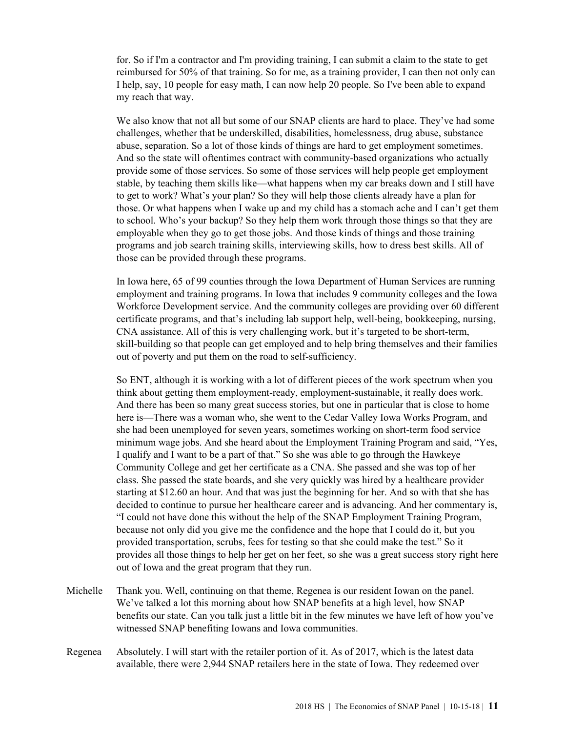for. So if I'm a contractor and I'm providing training, I can submit a claim to the state to get reimbursed for 50% of that training. So for me, as a training provider, I can then not only can I help, say, 10 people for easy math, I can now help 20 people. So I've been able to expand my reach that way.

We also know that not all but some of our SNAP clients are hard to place. They've had some challenges, whether that be underskilled, disabilities, homelessness, drug abuse, substance abuse, separation. So a lot of those kinds of things are hard to get employment sometimes. And so the state will oftentimes contract with community-based organizations who actually provide some of those services. So some of those services will help people get employment stable, by teaching them skills like—what happens when my car breaks down and I still have to get to work? What's your plan? So they will help those clients already have a plan for those. Or what happens when I wake up and my child has a stomach ache and I can't get them to school. Who's your backup? So they help them work through those things so that they are employable when they go to get those jobs. And those kinds of things and those training programs and job search training skills, interviewing skills, how to dress best skills. All of those can be provided through these programs.

In Iowa here, 65 of 99 counties through the Iowa Department of Human Services are running employment and training programs. In Iowa that includes 9 community colleges and the Iowa Workforce Development service. And the community colleges are providing over 60 different certificate programs, and that's including lab support help, well-being, bookkeeping, nursing, CNA assistance. All of this is very challenging work, but it's targeted to be short-term, skill-building so that people can get employed and to help bring themselves and their families out of poverty and put them on the road to self-sufficiency.

So ENT, although it is working with a lot of different pieces of the work spectrum when you think about getting them employment-ready, employment-sustainable, it really does work. And there has been so many great success stories, but one in particular that is close to home here is—There was a woman who, she went to the Cedar Valley Iowa Works Program, and she had been unemployed for seven years, sometimes working on short-term food service minimum wage jobs. And she heard about the Employment Training Program and said, "Yes, I qualify and I want to be a part of that." So she was able to go through the Hawkeye Community College and get her certificate as a CNA. She passed and she was top of her class. She passed the state boards, and she very quickly was hired by a healthcare provider starting at \$12.60 an hour. And that was just the beginning for her. And so with that she has decided to continue to pursue her healthcare career and is advancing. And her commentary is, "I could not have done this without the help of the SNAP Employment Training Program, because not only did you give me the confidence and the hope that I could do it, but you provided transportation, scrubs, fees for testing so that she could make the test." So it provides all those things to help her get on her feet, so she was a great success story right here out of Iowa and the great program that they run.

- Michelle Thank you. Well, continuing on that theme, Regenea is our resident Iowan on the panel. We've talked a lot this morning about how SNAP benefits at a high level, how SNAP benefits our state. Can you talk just a little bit in the few minutes we have left of how you've witnessed SNAP benefiting Iowans and Iowa communities.
- Regenea Absolutely. I will start with the retailer portion of it. As of 2017, which is the latest data available, there were 2,944 SNAP retailers here in the state of Iowa. They redeemed over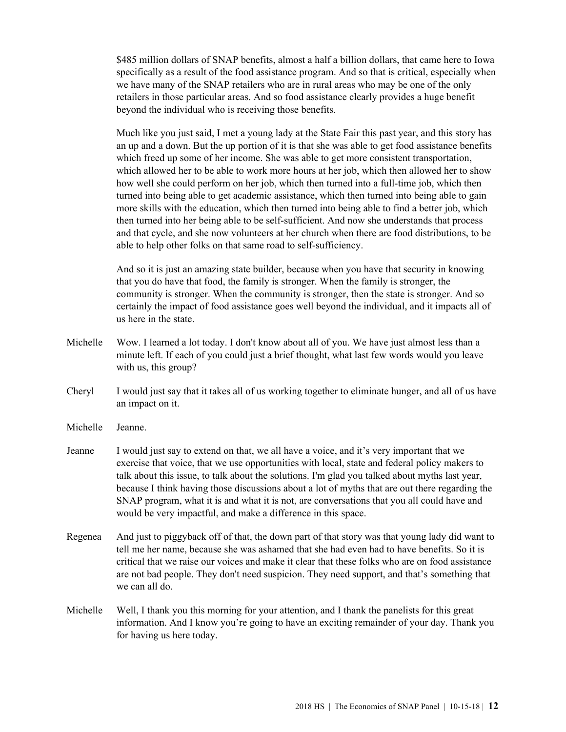\$485 million dollars of SNAP benefits, almost a half a billion dollars, that came here to Iowa specifically as a result of the food assistance program. And so that is critical, especially when we have many of the SNAP retailers who are in rural areas who may be one of the only retailers in those particular areas. And so food assistance clearly provides a huge benefit beyond the individual who is receiving those benefits.

Much like you just said, I met a young lady at the State Fair this past year, and this story has an up and a down. But the up portion of it is that she was able to get food assistance benefits which freed up some of her income. She was able to get more consistent transportation, which allowed her to be able to work more hours at her job, which then allowed her to show how well she could perform on her job, which then turned into a full-time job, which then turned into being able to get academic assistance, which then turned into being able to gain more skills with the education, which then turned into being able to find a better job, which then turned into her being able to be self-sufficient. And now she understands that process and that cycle, and she now volunteers at her church when there are food distributions, to be able to help other folks on that same road to self-sufficiency.

And so it is just an amazing state builder, because when you have that security in knowing that you do have that food, the family is stronger. When the family is stronger, the community is stronger. When the community is stronger, then the state is stronger. And so certainly the impact of food assistance goes well beyond the individual, and it impacts all of us here in the state.

- Michelle Wow. I learned a lot today. I don't know about all of you. We have just almost less than a minute left. If each of you could just a brief thought, what last few words would you leave with us, this group?
- Cheryl I would just say that it takes all of us working together to eliminate hunger, and all of us have an impact on it.
- Michelle Jeanne.
- Jeanne I would just say to extend on that, we all have a voice, and it's very important that we exercise that voice, that we use opportunities with local, state and federal policy makers to talk about this issue, to talk about the solutions. I'm glad you talked about myths last year, because I think having those discussions about a lot of myths that are out there regarding the SNAP program, what it is and what it is not, are conversations that you all could have and would be very impactful, and make a difference in this space.
- Regenea And just to piggyback off of that, the down part of that story was that young lady did want to tell me her name, because she was ashamed that she had even had to have benefits. So it is critical that we raise our voices and make it clear that these folks who are on food assistance are not bad people. They don't need suspicion. They need support, and that's something that we can all do.
- Michelle Well, I thank you this morning for your attention, and I thank the panelists for this great information. And I know you're going to have an exciting remainder of your day. Thank you for having us here today.